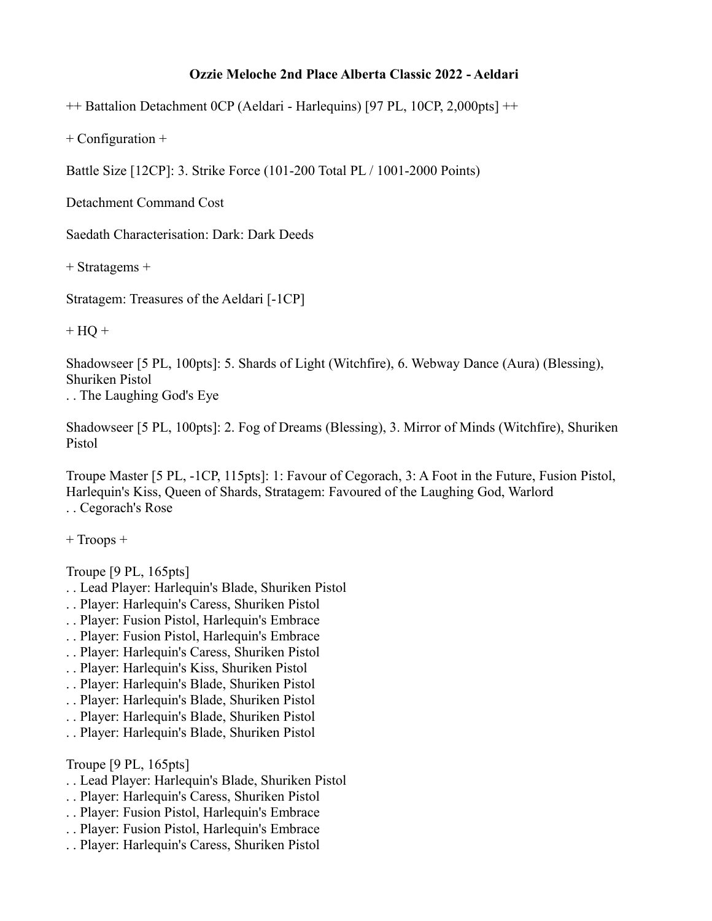## **Ozzie Meloche 2nd Place Alberta Classic 2022 - Aeldari**

++ Battalion Detachment 0CP (Aeldari - Harlequins) [97 PL, 10CP, 2,000pts] ++

+ Configuration +

Battle Size [12CP]: 3. Strike Force (101-200 Total PL / 1001-2000 Points)

Detachment Command Cost

Saedath Characterisation: Dark: Dark Deeds

+ Stratagems +

Stratagem: Treasures of the Aeldari [-1CP]

 $+ HO +$ 

Shadowseer [5 PL, 100pts]: 5. Shards of Light (Witchfire), 6. Webway Dance (Aura) (Blessing), Shuriken Pistol

. . The Laughing God's Eye

Shadowseer [5 PL, 100pts]: 2. Fog of Dreams (Blessing), 3. Mirror of Minds (Witchfire), Shuriken Pistol

Troupe Master [5 PL, -1CP, 115pts]: 1: Favour of Cegorach, 3: A Foot in the Future, Fusion Pistol, Harlequin's Kiss, Queen of Shards, Stratagem: Favoured of the Laughing God, Warlord

. . Cegorach's Rose

+ Troops +

Troupe [9 PL, 165pts]

- . . Lead Player: Harlequin's Blade, Shuriken Pistol
- . . Player: Harlequin's Caress, Shuriken Pistol
- . . Player: Fusion Pistol, Harlequin's Embrace
- . . Player: Fusion Pistol, Harlequin's Embrace
- . . Player: Harlequin's Caress, Shuriken Pistol
- . . Player: Harlequin's Kiss, Shuriken Pistol
- . . Player: Harlequin's Blade, Shuriken Pistol
- . . Player: Harlequin's Blade, Shuriken Pistol
- . . Player: Harlequin's Blade, Shuriken Pistol
- . . Player: Harlequin's Blade, Shuriken Pistol

Troupe [9 PL, 165pts]

- . . Lead Player: Harlequin's Blade, Shuriken Pistol
- . . Player: Harlequin's Caress, Shuriken Pistol
- . . Player: Fusion Pistol, Harlequin's Embrace
- . . Player: Fusion Pistol, Harlequin's Embrace
- . . Player: Harlequin's Caress, Shuriken Pistol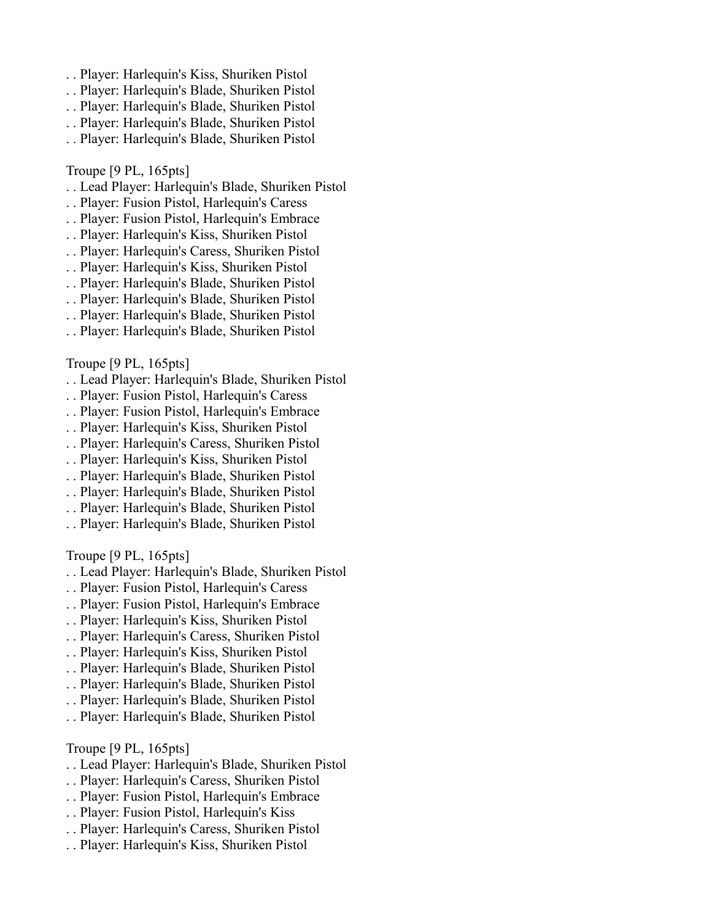- . . Player: Harlequin's Kiss, Shuriken Pistol
- . . Player: Harlequin's Blade, Shuriken Pistol
- . . Player: Harlequin's Blade, Shuriken Pistol
- . . Player: Harlequin's Blade, Shuriken Pistol
- . . Player: Harlequin's Blade, Shuriken Pistol

## Troupe [9 PL, 165pts]

- . . Lead Player: Harlequin's Blade, Shuriken Pistol
- . . Player: Fusion Pistol, Harlequin's Caress
- . . Player: Fusion Pistol, Harlequin's Embrace
- . . Player: Harlequin's Kiss, Shuriken Pistol
- . . Player: Harlequin's Caress, Shuriken Pistol
- . . Player: Harlequin's Kiss, Shuriken Pistol
- . . Player: Harlequin's Blade, Shuriken Pistol
- . . Player: Harlequin's Blade, Shuriken Pistol
- . . Player: Harlequin's Blade, Shuriken Pistol
- . . Player: Harlequin's Blade, Shuriken Pistol

## Troupe [9 PL, 165pts]

- . . Lead Player: Harlequin's Blade, Shuriken Pistol
- . . Player: Fusion Pistol, Harlequin's Caress
- . . Player: Fusion Pistol, Harlequin's Embrace
- . . Player: Harlequin's Kiss, Shuriken Pistol
- . . Player: Harlequin's Caress, Shuriken Pistol
- . . Player: Harlequin's Kiss, Shuriken Pistol
- . . Player: Harlequin's Blade, Shuriken Pistol
- . . Player: Harlequin's Blade, Shuriken Pistol
- . . Player: Harlequin's Blade, Shuriken Pistol
- . . Player: Harlequin's Blade, Shuriken Pistol

Troupe [9 PL, 165pts]

- . . Lead Player: Harlequin's Blade, Shuriken Pistol
- . . Player: Fusion Pistol, Harlequin's Caress
- . . Player: Fusion Pistol, Harlequin's Embrace
- . . Player: Harlequin's Kiss, Shuriken Pistol
- . . Player: Harlequin's Caress, Shuriken Pistol
- . . Player: Harlequin's Kiss, Shuriken Pistol
- . . Player: Harlequin's Blade, Shuriken Pistol
- . . Player: Harlequin's Blade, Shuriken Pistol
- . . Player: Harlequin's Blade, Shuriken Pistol
- . . Player: Harlequin's Blade, Shuriken Pistol

Troupe [9 PL, 165pts]

- . . Lead Player: Harlequin's Blade, Shuriken Pistol
- . . Player: Harlequin's Caress, Shuriken Pistol
- . . Player: Fusion Pistol, Harlequin's Embrace
- . . Player: Fusion Pistol, Harlequin's Kiss
- . . Player: Harlequin's Caress, Shuriken Pistol
- . . Player: Harlequin's Kiss, Shuriken Pistol